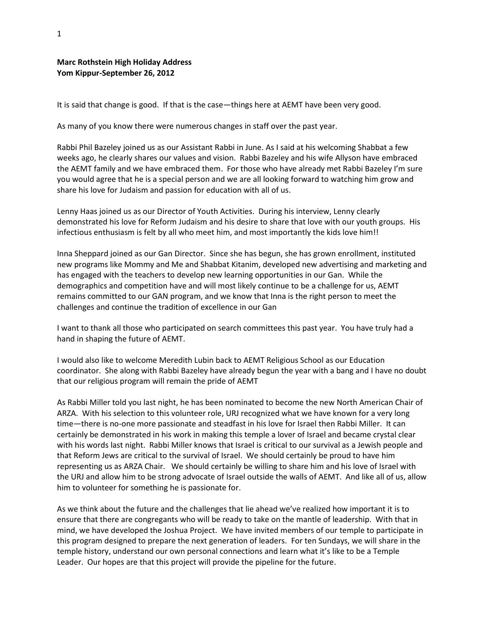## **Marc Rothstein High Holiday Address Yom Kippur-September 26, 2012**

It is said that change is good. If that is the case—things here at AEMT have been very good.

As many of you know there were numerous changes in staff over the past year.

Rabbi Phil Bazeley joined us as our Assistant Rabbi in June. As I said at his welcoming Shabbat a few weeks ago, he clearly shares our values and vision. Rabbi Bazeley and his wife Allyson have embraced the AEMT family and we have embraced them. For those who have already met Rabbi Bazeley I'm sure you would agree that he is a special person and we are all looking forward to watching him grow and share his love for Judaism and passion for education with all of us.

Lenny Haas joined us as our Director of Youth Activities. During his interview, Lenny clearly demonstrated his love for Reform Judaism and his desire to share that love with our youth groups. His infectious enthusiasm is felt by all who meet him, and most importantly the kids love him!!

Inna Sheppard joined as our Gan Director. Since she has begun, she has grown enrollment, instituted new programs like Mommy and Me and Shabbat Kitanim, developed new advertising and marketing and has engaged with the teachers to develop new learning opportunities in our Gan. While the demographics and competition have and will most likely continue to be a challenge for us, AEMT remains committed to our GAN program, and we know that Inna is the right person to meet the challenges and continue the tradition of excellence in our Gan

I want to thank all those who participated on search committees this past year. You have truly had a hand in shaping the future of AEMT.

I would also like to welcome Meredith Lubin back to AEMT Religious School as our Education coordinator. She along with Rabbi Bazeley have already begun the year with a bang and I have no doubt that our religious program will remain the pride of AEMT

As Rabbi Miller told you last night, he has been nominated to become the new North American Chair of ARZA. With his selection to this volunteer role, URJ recognized what we have known for a very long time—there is no-one more passionate and steadfast in his love for Israel then Rabbi Miller. It can certainly be demonstrated in his work in making this temple a lover of Israel and became crystal clear with his words last night. Rabbi Miller knows that Israel is critical to our survival as a Jewish people and that Reform Jews are critical to the survival of Israel. We should certainly be proud to have him representing us as ARZA Chair. We should certainly be willing to share him and his love of Israel with the URJ and allow him to be strong advocate of Israel outside the walls of AEMT. And like all of us, allow him to volunteer for something he is passionate for.

As we think about the future and the challenges that lie ahead we've realized how important it is to ensure that there are congregants who will be ready to take on the mantle of leadership. With that in mind, we have developed the Joshua Project. We have invited members of our temple to participate in this program designed to prepare the next generation of leaders. For ten Sundays, we will share in the temple history, understand our own personal connections and learn what it's like to be a Temple Leader. Our hopes are that this project will provide the pipeline for the future.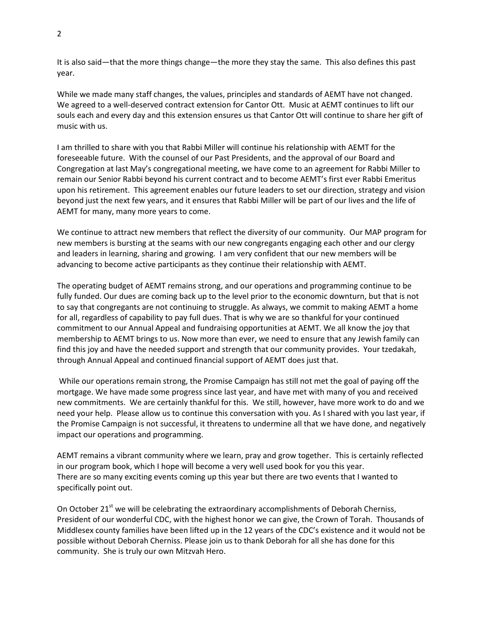It is also said—that the more things change—the more they stay the same. This also defines this past year.

While we made many staff changes, the values, principles and standards of AEMT have not changed. We agreed to a well-deserved contract extension for Cantor Ott. Music at AEMT continues to lift our souls each and every day and this extension ensures us that Cantor Ott will continue to share her gift of music with us.

I am thrilled to share with you that Rabbi Miller will continue his relationship with AEMT for the foreseeable future. With the counsel of our Past Presidents, and the approval of our Board and Congregation at last May's congregational meeting, we have come to an agreement for Rabbi Miller to remain our Senior Rabbi beyond his current contract and to become AEMT's first ever Rabbi Emeritus upon his retirement. This agreement enables our future leaders to set our direction, strategy and vision beyond just the next few years, and it ensures that Rabbi Miller will be part of our lives and the life of AEMT for many, many more years to come.

We continue to attract new members that reflect the diversity of our community. Our MAP program for new members is bursting at the seams with our new congregants engaging each other and our clergy and leaders in learning, sharing and growing. I am very confident that our new members will be advancing to become active participants as they continue their relationship with AEMT.

The operating budget of AEMT remains strong, and our operations and programming continue to be fully funded. Our dues are coming back up to the level prior to the economic downturn, but that is not to say that congregants are not continuing to struggle. As always, we commit to making AEMT a home for all, regardless of capability to pay full dues. That is why we are so thankful for your continued commitment to our Annual Appeal and fundraising opportunities at AEMT. We all know the joy that membership to AEMT brings to us. Now more than ever, we need to ensure that any Jewish family can find this joy and have the needed support and strength that our community provides. Your tzedakah, through Annual Appeal and continued financial support of AEMT does just that.

While our operations remain strong, the Promise Campaign has still not met the goal of paying off the mortgage. We have made some progress since last year, and have met with many of you and received new commitments. We are certainly thankful for this. We still, however, have more work to do and we need your help. Please allow us to continue this conversation with you. As I shared with you last year, if the Promise Campaign is not successful, it threatens to undermine all that we have done, and negatively impact our operations and programming.

AEMT remains a vibrant community where we learn, pray and grow together. This is certainly reflected in our program book, which I hope will become a very well used book for you this year. There are so many exciting events coming up this year but there are two events that I wanted to specifically point out.

On October  $21^{st}$  we will be celebrating the extraordinary accomplishments of Deborah Cherniss, President of our wonderful CDC, with the highest honor we can give, the Crown of Torah. Thousands of Middlesex county families have been lifted up in the 12 years of the CDC's existence and it would not be possible without Deborah Cherniss. Please join us to thank Deborah for all she has done for this community. She is truly our own Mitzvah Hero.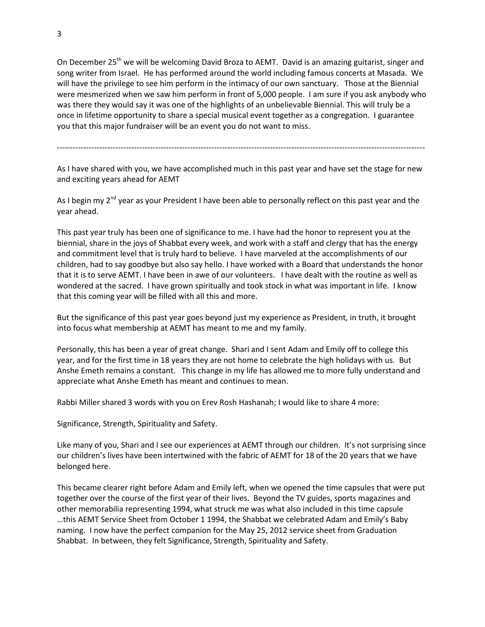On December 25<sup>th</sup> we will be welcoming David Broza to AEMT. David is an amazing guitarist, singer and song writer from Israel. He has performed around the world including famous concerts at Masada. We will have the privilege to see him perform in the intimacy of our own sanctuary. Those at the Biennial were mesmerized when we saw him perform in front of 5,000 people. I am sure if you ask anybody who was there they would say it was one of the highlights of an unbelievable Biennial. This will truly be a once in lifetime opportunity to share a special musical event together as a congregation. I guarantee you that this major fundraiser will be an event you do not want to miss.

------------------------------------------------------------------------------------------------------------------------------------------

As I have shared with you, we have accomplished much in this past year and have set the stage for new and exciting years ahead for AEMT

As I begin my 2<sup>nd</sup> year as your President I have been able to personally reflect on this past year and the year ahead.

This past year truly has been one of significance to me. I have had the honor to represent you at the biennial, share in the joys of Shabbat every week, and work with a staff and clergy that has the energy and commitment level that is truly hard to believe. I have marveled at the accomplishments of our children, had to say goodbye but also say hello. I have worked with a Board that understands the honor that it is to serve AEMT. I have been in awe of our volunteers. I have dealt with the routine as well as wondered at the sacred. I have grown spiritually and took stock in what was important in life. I know that this coming year will be filled with all this and more.

But the significance of this past year goes beyond just my experience as President, in truth, it brought into focus what membership at AEMT has meant to me and my family.

Personally, this has been a year of great change. Shari and I sent Adam and Emily off to college this year, and for the first time in 18 years they are not home to celebrate the high holidays with us. But Anshe Emeth remains a constant. This change in my life has allowed me to more fully understand and appreciate what Anshe Emeth has meant and continues to mean.

Rabbi Miller shared 3 words with you on Erev Rosh Hashanah; I would like to share 4 more:

Significance, Strength, Spirituality and Safety.

Like many of you, Shari and I see our experiences at AEMT through our children. It's not surprising since our children's lives have been intertwined with the fabric of AEMT for 18 of the 20 years that we have belonged here.

This became clearer right before Adam and Emily left, when we opened the time capsules that were put together over the course of the first year of their lives. Beyond the TV guides, sports magazines and other memorabilia representing 1994, what struck me was what also included in this time capsule …this AEMT Service Sheet from October 1 1994, the Shabbat we celebrated Adam and Emily's Baby naming. I now have the perfect companion for the May 25, 2012 service sheet from Graduation Shabbat. In between, they felt Significance, Strength, Spirituality and Safety.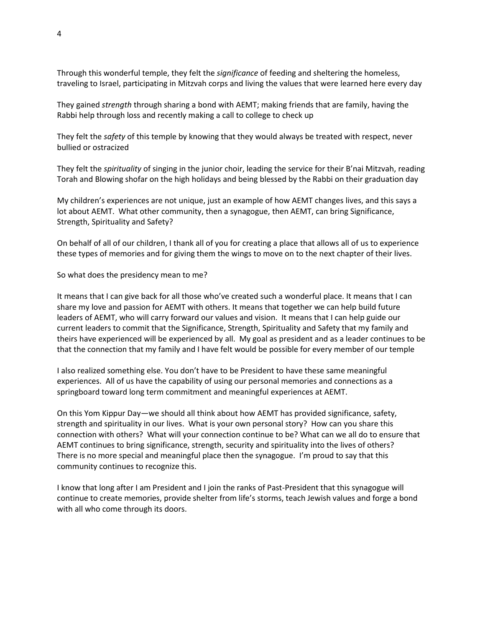Through this wonderful temple, they felt the *significance* of feeding and sheltering the homeless, traveling to Israel, participating in Mitzvah corps and living the values that were learned here every day

They gained *strength* through sharing a bond with AEMT; making friends that are family, having the Rabbi help through loss and recently making a call to college to check up

They felt the *safety* of this temple by knowing that they would always be treated with respect, never bullied or ostracized

They felt the *spirituality* of singing in the junior choir, leading the service for their B'nai Mitzvah, reading Torah and Blowing shofar on the high holidays and being blessed by the Rabbi on their graduation day

My children's experiences are not unique, just an example of how AEMT changes lives, and this says a lot about AEMT. What other community, then a synagogue, then AEMT, can bring Significance, Strength, Spirituality and Safety?

On behalf of all of our children, I thank all of you for creating a place that allows all of us to experience these types of memories and for giving them the wings to move on to the next chapter of their lives.

So what does the presidency mean to me?

It means that I can give back for all those who've created such a wonderful place. It means that I can share my love and passion for AEMT with others. It means that together we can help build future leaders of AEMT, who will carry forward our values and vision. It means that I can help guide our current leaders to commit that the Significance, Strength, Spirituality and Safety that my family and theirs have experienced will be experienced by all. My goal as president and as a leader continues to be that the connection that my family and I have felt would be possible for every member of our temple

I also realized something else. You don't have to be President to have these same meaningful experiences. All of us have the capability of using our personal memories and connections as a springboard toward long term commitment and meaningful experiences at AEMT.

On this Yom Kippur Day—we should all think about how AEMT has provided significance, safety, strength and spirituality in our lives. What is your own personal story? How can you share this connection with others? What will your connection continue to be? What can we all do to ensure that AEMT continues to bring significance, strength, security and spirituality into the lives of others? There is no more special and meaningful place then the synagogue. I'm proud to say that this community continues to recognize this.

I know that long after I am President and I join the ranks of Past-President that this synagogue will continue to create memories, provide shelter from life's storms, teach Jewish values and forge a bond with all who come through its doors.